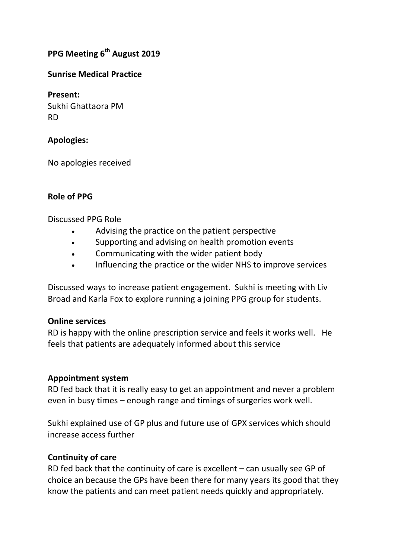# **PPG Meeting 6 th August 2019**

#### **Sunrise Medical Practice**

**Present:** Sukhi Ghattaora PM RD

## **Apologies:**

No apologies received

## **Role of PPG**

Discussed PPG Role

- Advising the practice on the patient perspective
- Supporting and advising on health promotion events
- Communicating with the wider patient body
- Influencing the practice or the wider NHS to improve services

Discussed ways to increase patient engagement. Sukhi is meeting with Liv Broad and Karla Fox to explore running a joining PPG group for students.

#### **Online services**

RD is happy with the online prescription service and feels it works well. He feels that patients are adequately informed about this service

#### **Appointment system**

RD fed back that it is really easy to get an appointment and never a problem even in busy times – enough range and timings of surgeries work well.

Sukhi explained use of GP plus and future use of GPX services which should increase access further

#### **Continuity of care**

RD fed back that the continuity of care is excellent – can usually see GP of choice an because the GPs have been there for many years its good that they know the patients and can meet patient needs quickly and appropriately.